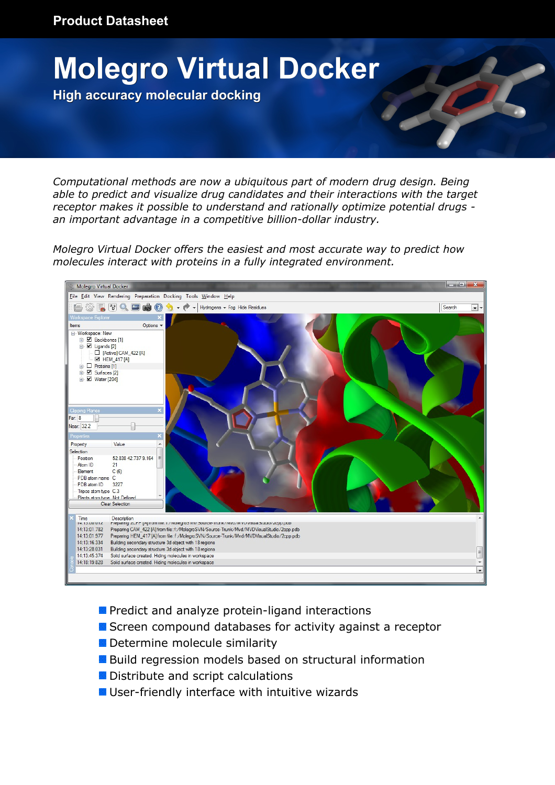

*Computational methods are now a ubiquitous part of modern drug design. Being able to predict and visualize drug candidates and their interactions with the target receptor makes it possible to understand and rationally optimize potential drugs an important advantage in a competitive billion-dollar industry.*

*Molegro Virtual Docker offers the easiest and most accurate way to predict how molecules interact with proteins in a fully integrated environment.*



- **Predict and analyze protein-ligand interactions**
- Screen compound databases for activity against a receptor
- Determine molecule similarity
- Build regression models based on structural information
- **Distribute and script calculations**
- User-friendly interface with intuitive wizards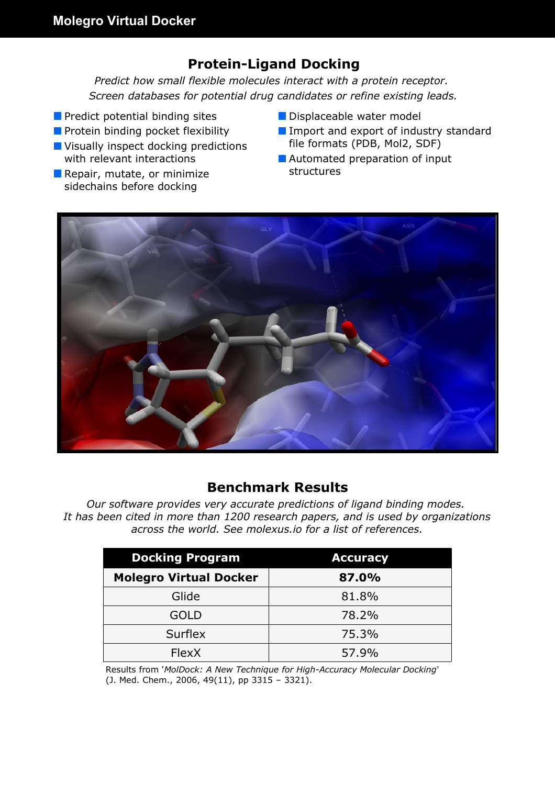# **Protein-Ligand Docking**

*Predict how small flexible molecules interact with a protein receptor. Screen databases for potential drug candidates or refine existing leads.*

- **P** Predict potential binding sites
- **Protein binding pocket flexibility**
- **Visually inspect docking predictions** with relevant interactions
- **Repair, mutate, or minimize** sidechains before docking
- **Displaceable water model**
- Import and export of industry standard file formats (PDB, Mol2, SDF)
- **Automated preparation of input** structures



#### **Benchmark Results**

*Our software provides very accurate predictions of ligand binding modes. It has been cited in more than 1200 research papers, and is used by organizations across the world. See molexus.io for a list of references.*

| <b>Docking Program</b>        | <b>Accuracy</b> |
|-------------------------------|-----------------|
| <b>Molegro Virtual Docker</b> | 87.0%           |
| Glide                         | 81.8%           |
| GOLD                          | 78.2%           |
| <b>Surflex</b>                | 75.3%           |
| <b>FlexX</b>                  | 57.9%           |

Results from '*MolDock: A New Technique for High-Accuracy Molecular Docking*' (J. Med. Chem., 2006, 49(11), pp 3315 – 3321).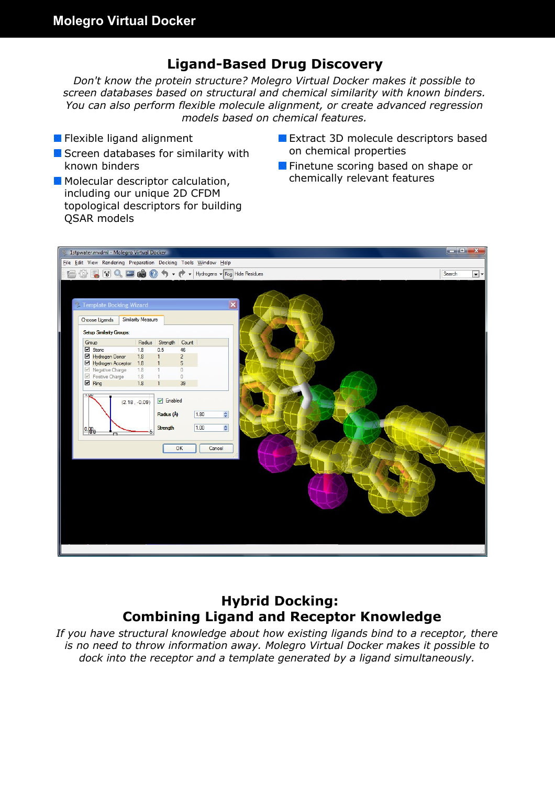## **Ligand-Based Drug Discovery**

*Don't know the protein structure? Molegro Virtual Docker makes it possible to screen databases based on structural and chemical similarity with known binders. You can also perform flexible molecule alignment, or create advanced regression models based on chemical features.*

- **Flexible ligand alignment**
- Screen databases for similarity with known binders
- **Molecular descriptor calculation,** including our unique 2D CFDM topological descriptors for building QSAR models
- **Extract 3D molecule descriptors based** on chemical properties
- **Finetune scoring based on shape or** chemically relevant features



## **Hybrid Docking: Combining Ligand and Receptor Knowledge**

*If you have structural knowledge about how existing ligands bind to a receptor, there is no need to throw information away. Molegro Virtual Docker makes it possible to dock into the receptor and a template generated by a ligand simultaneously.*